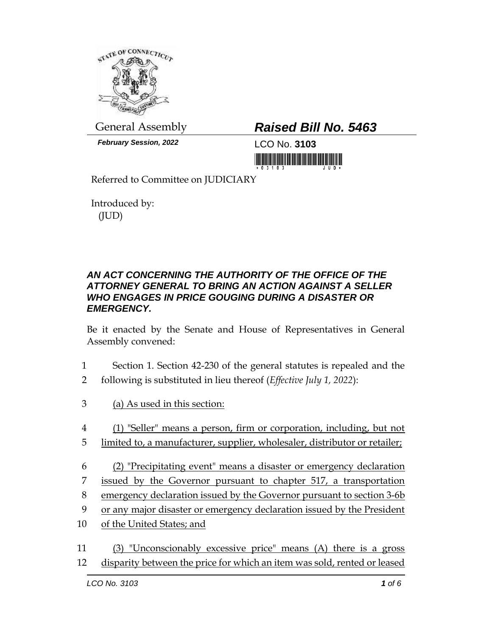

*February Session, 2022* LCO No. **3103**

## General Assembly *Raised Bill No. 5463*

<u> 1999 - Andrew Maria Maria Maria Maria Maria Maria Maria Maria Maria Maria Maria Maria Maria Maria Maria Mari</u>

Referred to Committee on JUDICIARY

Introduced by: (JUD)

## *AN ACT CONCERNING THE AUTHORITY OF THE OFFICE OF THE ATTORNEY GENERAL TO BRING AN ACTION AGAINST A SELLER WHO ENGAGES IN PRICE GOUGING DURING A DISASTER OR EMERGENCY.*

Be it enacted by the Senate and House of Representatives in General Assembly convened:

- 1 Section 1. Section 42-230 of the general statutes is repealed and the
- 2 following is substituted in lieu thereof (*Effective July 1, 2022*):
- 3 (a) As used in this section:
- 4 (1) "Seller" means a person, firm or corporation, including, but not
- 5 limited to, a manufacturer, supplier, wholesaler, distributor or retailer;
- 6 (2) "Precipitating event" means a disaster or emergency declaration 7 issued by the Governor pursuant to chapter 517, a transportation 8 emergency declaration issued by the Governor pursuant to section 3-6b
- 9 or any major disaster or emergency declaration issued by the President
- 10 of the United States; and
- 11 (3) "Unconscionably excessive price" means (A) there is a gross 12 disparity between the price for which an item was sold, rented or leased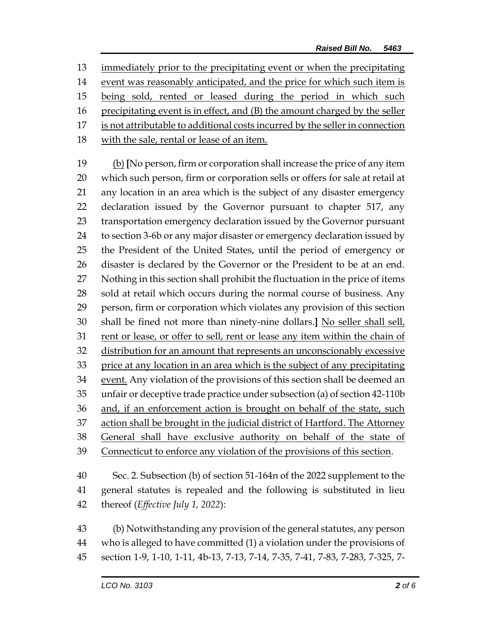immediately prior to the precipitating event or when the precipitating event was reasonably anticipated, and the price for which such item is 15 being sold, rented or leased during the period in which such

- precipitating event is in effect, and (B) the amount charged by the seller
- is not attributable to additional costs incurred by the seller in connection
- with the sale, rental or lease of an item.

 (b) **[**No person, firm or corporation shall increase the price of any item which such person, firm or corporation sells or offers for sale at retail at any location in an area which is the subject of any disaster emergency declaration issued by the Governor pursuant to chapter 517, any transportation emergency declaration issued by the Governor pursuant to section 3-6b or any major disaster or emergency declaration issued by the President of the United States, until the period of emergency or disaster is declared by the Governor or the President to be at an end. Nothing in this section shall prohibit the fluctuation in the price of items sold at retail which occurs during the normal course of business. Any person, firm or corporation which violates any provision of this section shall be fined not more than ninety-nine dollars.**]** No seller shall sell, rent or lease, or offer to sell, rent or lease any item within the chain of distribution for an amount that represents an unconscionably excessive 33 price at any location in an area which is the subject of any precipitating 34 event. Any violation of the provisions of this section shall be deemed an unfair or deceptive trade practice under subsection (a) of section 42-110b and, if an enforcement action is brought on behalf of the state, such 37 action shall be brought in the judicial district of Hartford. The Attorney General shall have exclusive authority on behalf of the state of Connecticut to enforce any violation of the provisions of this section.

 Sec. 2. Subsection (b) of section 51-164n of the 2022 supplement to the general statutes is repealed and the following is substituted in lieu thereof (*Effective July 1, 2022*):

 (b) Notwithstanding any provision of the general statutes, any person who is alleged to have committed (1) a violation under the provisions of section 1-9, 1-10, 1-11, 4b-13, 7-13, 7-14, 7-35, 7-41, 7-83, 7-283, 7-325, 7-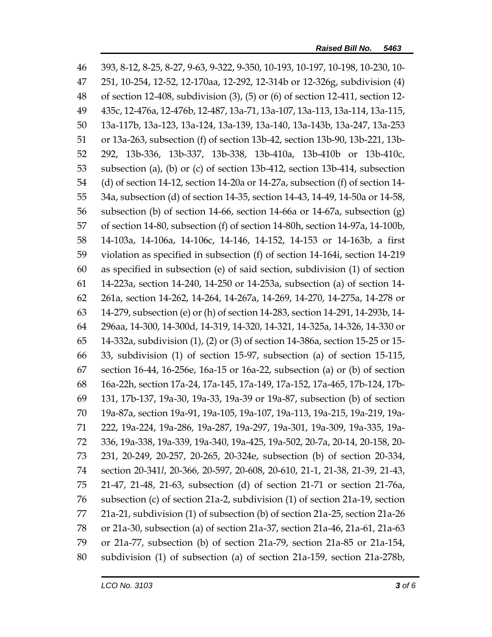| 46 | 393, 8-12, 8-25, 8-27, 9-63, 9-322, 9-350, 10-193, 10-197, 10-198, 10-230, 10-       |  |  |
|----|--------------------------------------------------------------------------------------|--|--|
| 47 | 251, 10-254, 12-52, 12-170aa, 12-292, 12-314b or 12-326g, subdivision (4)            |  |  |
| 48 | of section 12-408, subdivision $(3)$ , $(5)$ or $(6)$ of section 12-411, section 12- |  |  |
| 49 | 435c, 12-476a, 12-476b, 12-487, 13a-71, 13a-107, 13a-113, 13a-114, 13a-115,          |  |  |
| 50 | 13a-117b, 13a-123, 13a-124, 13a-139, 13a-140, 13a-143b, 13a-247, 13a-253             |  |  |
| 51 | or 13a-263, subsection (f) of section 13b-42, section 13b-90, 13b-221, 13b-          |  |  |
| 52 | 292, 13b-336, 13b-337, 13b-338, 13b-410a, 13b-410b or 13b-410c,                      |  |  |
| 53 | subsection (a), (b) or (c) of section 13b-412, section 13b-414, subsection           |  |  |
| 54 | (d) of section 14-12, section 14-20a or 14-27a, subsection $(f)$ of section 14-      |  |  |
| 55 | 34a, subsection (d) of section 14-35, section 14-43, 14-49, 14-50a or 14-58,         |  |  |
| 56 | subsection (b) of section 14-66, section 14-66a or 14-67a, subsection $(g)$          |  |  |
| 57 | of section 14-80, subsection (f) of section 14-80h, section 14-97a, 14-100b,         |  |  |
| 58 | 14-103a, 14-106a, 14-106c, 14-146, 14-152, 14-153 or 14-163b, a first                |  |  |
| 59 | violation as specified in subsection (f) of section 14-164i, section 14-219          |  |  |
| 60 | as specified in subsection (e) of said section, subdivision (1) of section           |  |  |
| 61 | 14-223a, section 14-240, 14-250 or 14-253a, subsection (a) of section 14-            |  |  |
| 62 | 261a, section 14-262, 14-264, 14-267a, 14-269, 14-270, 14-275a, 14-278 or            |  |  |
| 63 | 14-279, subsection (e) or (h) of section 14-283, section 14-291, 14-293b, 14-        |  |  |
| 64 | 296aa, 14-300, 14-300d, 14-319, 14-320, 14-321, 14-325a, 14-326, 14-330 or           |  |  |
| 65 | 14-332a, subdivision (1), (2) or (3) of section 14-386a, section 15-25 or 15-        |  |  |
| 66 | 33, subdivision (1) of section 15-97, subsection (a) of section 15-115,              |  |  |
| 67 | section 16-44, 16-256e, 16a-15 or 16a-22, subsection (a) or (b) of section           |  |  |
| 68 | 16a-22h, section 17a-24, 17a-145, 17a-149, 17a-152, 17a-465, 17b-124, 17b-           |  |  |
| 69 | 131, 17b-137, 19a-30, 19a-33, 19a-39 or 19a-87, subsection (b) of section            |  |  |
| 70 | 19a-87a, section 19a-91, 19a-105, 19a-107, 19a-113, 19a-215, 19a-219, 19a-           |  |  |
| 71 | 222, 19a-224, 19a-286, 19a-287, 19a-297, 19a-301, 19a-309, 19a-335, 19a-             |  |  |
| 72 | 336, 19a-338, 19a-339, 19a-340, 19a-425, 19a-502, 20-7a, 20-14, 20-158, 20-          |  |  |
| 73 | 231, 20-249, 20-257, 20-265, 20-324e, subsection (b) of section 20-334,              |  |  |
| 74 | section 20-341l, 20-366, 20-597, 20-608, 20-610, 21-1, 21-38, 21-39, 21-43,          |  |  |
| 75 | 21-47, 21-48, 21-63, subsection (d) of section 21-71 or section 21-76a,              |  |  |
| 76 | subsection (c) of section 21a-2, subdivision (1) of section 21a-19, section          |  |  |
| 77 | 21a-21, subdivision (1) of subsection (b) of section 21a-25, section 21a-26          |  |  |
| 78 | or 21a-30, subsection (a) of section 21a-37, section 21a-46, 21a-61, 21a-63          |  |  |
| 79 | or 21a-77, subsection (b) of section 21a-79, section 21a-85 or 21a-154,              |  |  |
| 80 | subdivision (1) of subsection (a) of section 21a-159, section 21a-278b,              |  |  |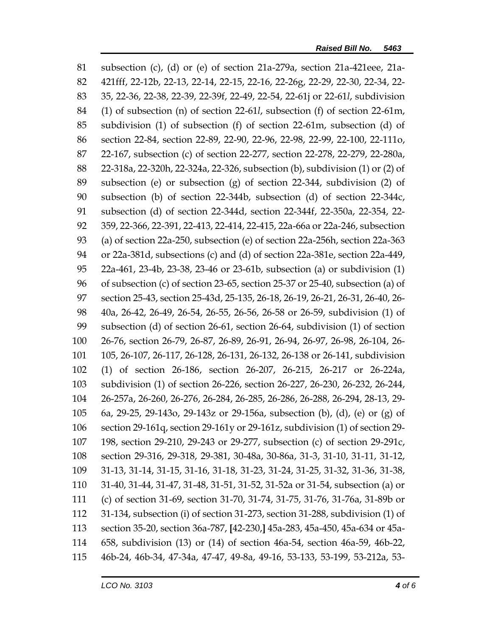subsection (c), (d) or (e) of section 21a-279a, section 21a-421eee, 21a- 421fff, 22-12b, 22-13, 22-14, 22-15, 22-16, 22-26g, 22-29, 22-30, 22-34, 22- 35, 22-36, 22-38, 22-39, 22-39f, 22-49, 22-54, 22-61j or 22-61*l*, subdivision (1) of subsection (n) of section 22-61*l*, subsection (f) of section 22-61m, subdivision (1) of subsection (f) of section 22-61m, subsection (d) of section 22-84, section 22-89, 22-90, 22-96, 22-98, 22-99, 22-100, 22-111o, 22-167, subsection (c) of section 22-277, section 22-278, 22-279, 22-280a, 22-318a, 22-320h, 22-324a, 22-326, subsection (b), subdivision (1) or (2) of subsection (e) or subsection (g) of section 22-344, subdivision (2) of subsection (b) of section 22-344b, subsection (d) of section 22-344c, subsection (d) of section 22-344d, section 22-344f, 22-350a, 22-354, 22- 359, 22-366, 22-391, 22-413, 22-414, 22-415, 22a-66a or 22a-246, subsection (a) of section 22a-250, subsection (e) of section 22a-256h, section 22a-363 or 22a-381d, subsections (c) and (d) of section 22a-381e, section 22a-449, 22a-461, 23-4b, 23-38, 23-46 or 23-61b, subsection (a) or subdivision (1) of subsection (c) of section 23-65, section 25-37 or 25-40, subsection (a) of section 25-43, section 25-43d, 25-135, 26-18, 26-19, 26-21, 26-31, 26-40, 26- 40a, 26-42, 26-49, 26-54, 26-55, 26-56, 26-58 or 26-59, subdivision (1) of subsection (d) of section 26-61, section 26-64, subdivision (1) of section 26-76, section 26-79, 26-87, 26-89, 26-91, 26-94, 26-97, 26-98, 26-104, 26- 105, 26-107, 26-117, 26-128, 26-131, 26-132, 26-138 or 26-141, subdivision (1) of section 26-186, section 26-207, 26-215, 26-217 or 26-224a, subdivision (1) of section 26-226, section 26-227, 26-230, 26-232, 26-244, 26-257a, 26-260, 26-276, 26-284, 26-285, 26-286, 26-288, 26-294, 28-13, 29- 6a, 29-25, 29-143o, 29-143z or 29-156a, subsection (b), (d), (e) or (g) of section 29-161q, section 29-161y or 29-161z, subdivision (1) of section 29- 198, section 29-210, 29-243 or 29-277, subsection (c) of section 29-291c, section 29-316, 29-318, 29-381, 30-48a, 30-86a, 31-3, 31-10, 31-11, 31-12, 31-13, 31-14, 31-15, 31-16, 31-18, 31-23, 31-24, 31-25, 31-32, 31-36, 31-38, 31-40, 31-44, 31-47, 31-48, 31-51, 31-52, 31-52a or 31-54, subsection (a) or (c) of section 31-69, section 31-70, 31-74, 31-75, 31-76, 31-76a, 31-89b or 31-134, subsection (i) of section 31-273, section 31-288, subdivision (1) of section 35-20, section 36a-787, **[**42-230,**]** 45a-283, 45a-450, 45a-634 or 45a- 658, subdivision (13) or (14) of section 46a-54, section 46a-59, 46b-22, 46b-24, 46b-34, 47-34a, 47-47, 49-8a, 49-16, 53-133, 53-199, 53-212a, 53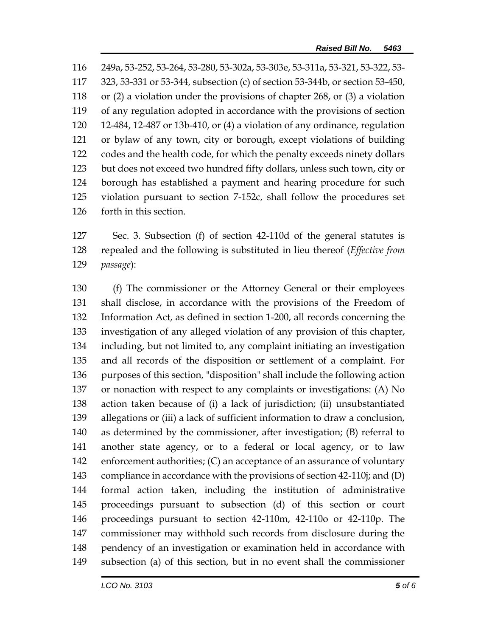249a, 53-252, 53-264, 53-280, 53-302a, 53-303e, 53-311a, 53-321, 53-322, 53- 323, 53-331 or 53-344, subsection (c) of section 53-344b, or section 53-450, or (2) a violation under the provisions of chapter 268, or (3) a violation of any regulation adopted in accordance with the provisions of section 12-484, 12-487 or 13b-410, or (4) a violation of any ordinance, regulation or bylaw of any town, city or borough, except violations of building codes and the health code, for which the penalty exceeds ninety dollars but does not exceed two hundred fifty dollars, unless such town, city or borough has established a payment and hearing procedure for such violation pursuant to section 7-152c, shall follow the procedures set forth in this section.

 Sec. 3. Subsection (f) of section 42-110d of the general statutes is repealed and the following is substituted in lieu thereof (*Effective from passage*):

 (f) The commissioner or the Attorney General or their employees shall disclose, in accordance with the provisions of the Freedom of Information Act, as defined in section 1-200, all records concerning the investigation of any alleged violation of any provision of this chapter, including, but not limited to, any complaint initiating an investigation and all records of the disposition or settlement of a complaint. For purposes of this section, "disposition" shall include the following action or nonaction with respect to any complaints or investigations: (A) No action taken because of (i) a lack of jurisdiction; (ii) unsubstantiated allegations or (iii) a lack of sufficient information to draw a conclusion, as determined by the commissioner, after investigation; (B) referral to another state agency, or to a federal or local agency, or to law enforcement authorities; (C) an acceptance of an assurance of voluntary compliance in accordance with the provisions of section 42-110j; and (D) formal action taken, including the institution of administrative proceedings pursuant to subsection (d) of this section or court proceedings pursuant to section 42-110m, 42-110o or 42-110p. The commissioner may withhold such records from disclosure during the pendency of an investigation or examination held in accordance with subsection (a) of this section, but in no event shall the commissioner